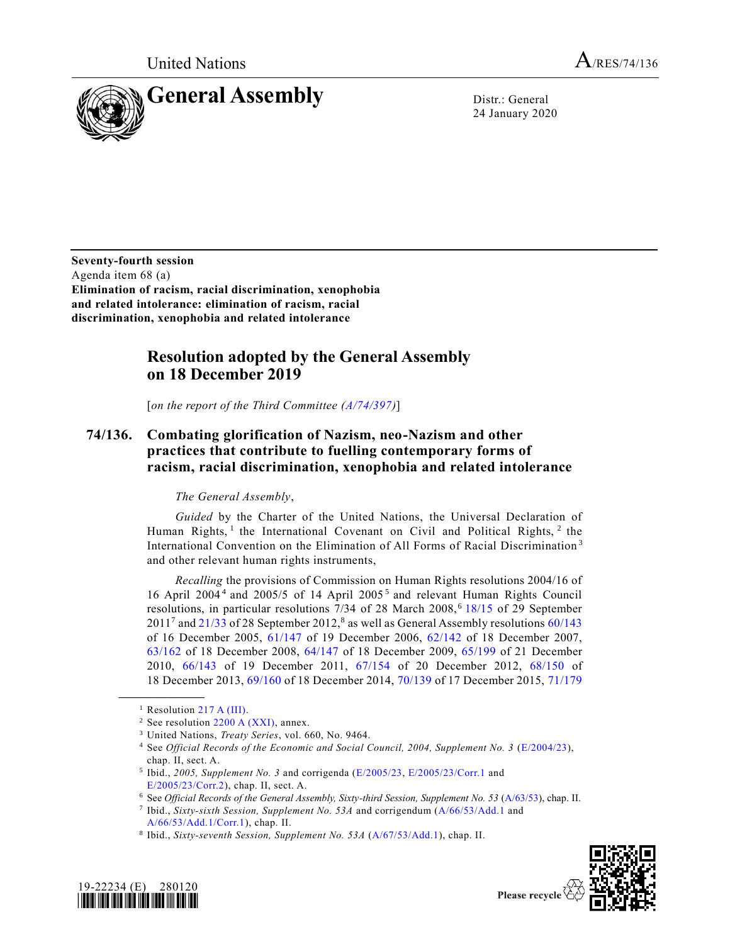United Nations  $A_{/RES/74/136}$ 



24 January 2020

**Seventy-fourth session** Agenda item 68 (a) **Elimination of racism, racial discrimination, xenophobia and related intolerance: elimination of racism, racial discrimination, xenophobia and related intolerance**

## **Resolution adopted by the General Assembly on 18 December 2019**

[*on the report of the Third Committee [\(A/74/397\)](https://undocs.org/en/A/74/397)*]

## **74/136. Combating glorification of Nazism, neo-Nazism and other practices that contribute to fuelling contemporary forms of racism, racial discrimination, xenophobia and related intolerance**

## <span id="page-0-3"></span><span id="page-0-2"></span>*The General Assembly*,

*Guided* by the Charter of the United Nations, the Universal Declaration of Human Rights, <sup>1</sup> the International Covenant on Civil and Political Rights,  $2$  the International Convention on the Elimination of All Forms of Racial Discrimination <sup>3</sup> and other relevant human rights instruments,

*Recalling* the provisions of Commission on Human Rights resolutions 2004/16 of 16 April 2004<sup>4</sup> and 2005/5 of 14 April 2005<sup>5</sup> and relevant Human Rights Council resolutions, in particular resolutions 7/34 of 28 March 2008,<sup>6</sup> [18/15](https://undocs.org/en/A/HRC/RES/18/15) of 29 September  $2011<sup>7</sup>$  and  $21/33$  of 28 September 2012,<sup>8</sup> as well as General Assembly resolutions  $60/143$ of 16 December 2005, [61/147](https://undocs.org/en/A/RES/61/147) of 19 December 2006, [62/142](https://undocs.org/en/A/RES/62/142) of 18 December 2007, [63/162](https://undocs.org/en/A/RES/63/162) of 18 December 2008, [64/147](https://undocs.org/en/A/RES/64/147) of 18 December 2009, [65/199](https://undocs.org/en/A/RES/65/199) of 21 December 2010, [66/143](https://undocs.org/en/A/RES/66/143) of 19 December 2011, [67/154](https://undocs.org/en/A/RES/67/154) of 20 December 2012, [68/150](https://undocs.org/en/A/RES/68/150) of 18 December 2013, [69/160](https://undocs.org/en/A/RES/69/160) of 18 December 2014, [70/139](https://undocs.org/en/A/RES/70/139) of 17 December 2015, [71/179](https://undocs.org/en/A/RES/71/179)

<span id="page-0-1"></span><span id="page-0-0"></span>



<sup>&</sup>lt;sup>1</sup> Resolution [217 A \(III\).](https://undocs.org/en/A/RES/217%20(III))

<sup>&</sup>lt;sup>2</sup> See resolution  $2200 \text{ A (XXI)}$ , annex.

<sup>3</sup> United Nations, *Treaty Series*, vol. 660, No. 9464.

<sup>4</sup> See *Official Records of the Economic and Social Council, 2004, Supplement No. 3* [\(E/2004/23\)](https://undocs.org/en/E/2004/23(supp)), chap. II, sect. A.

<sup>&</sup>lt;sup>5</sup> Ibid., 2005, Supplement No. 3 and corrigenda [\(E/2005/23,](https://undocs.org/en/E/2005/23(supp)) [E/2005/23/Corr.1](https://undocs.org/en/E/2005/23/CORR.1(SUPP)) and [E/2005/23/Corr.2\)](https://undocs.org/en/E/2005/23/CORR.2(SUPP)), chap. II, sect. A.

<sup>6</sup> See *Official Records of the General Assembly, Sixty-third Session, Supplement No. 53* [\(A/63/53\)](https://undocs.org/en/A/63/53), chap. II.

<sup>7</sup> Ibid., *Sixty-sixth Session, Supplement No. 53A* and corrigendum [\(A/66/53/Add.1](https://undocs.org/en/A/66/53/Add.1) and [A/66/53/Add.1/Corr.1\)](https://undocs.org/en/A/66/53/Add.1/Corr.1), chap. II.

<sup>8</sup> Ibid., *Sixty-seventh Session, Supplement No. 53A* [\(A/67/53/Add.1\)](https://undocs.org/en/A/67/53/Add.1), chap. II.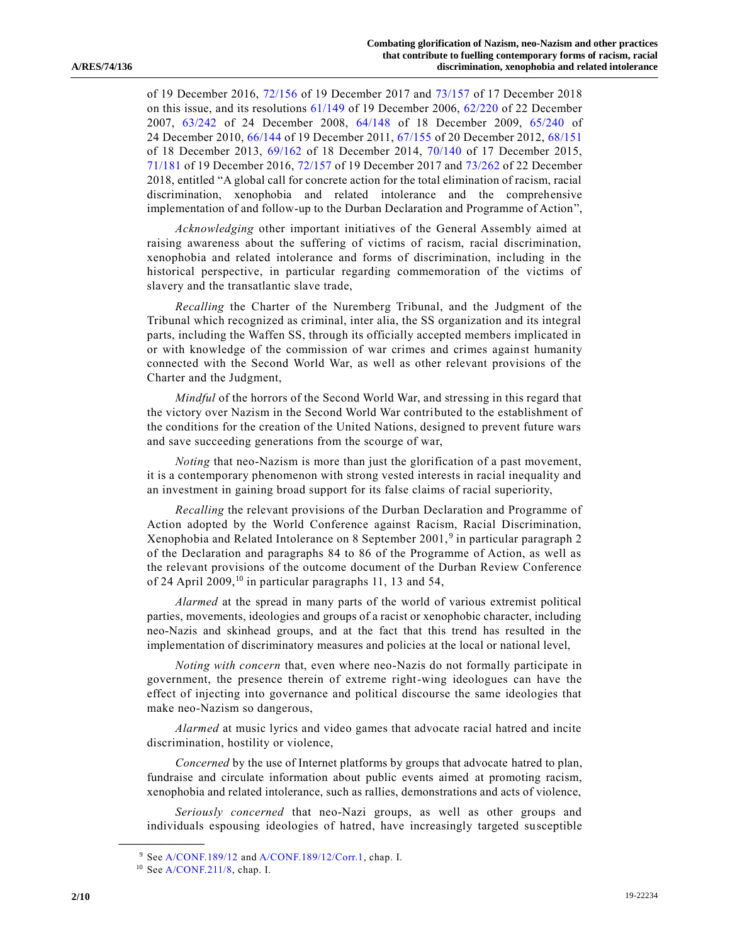of 19 December 2016, [72/156](https://undocs.org/en/A/RES/72/156) of 19 December 2017 and [73/157](https://undocs.org/en/A/RES/73/157) of 17 December 2018 on this issue, and its resolutions [61/149](https://undocs.org/en/A/RES/61/149) of 19 December 2006, [62/220](https://undocs.org/en/A/RES/62/220) of 22 December 2007, [63/242](https://undocs.org/en/A/RES/63/242) of 24 December 2008, [64/148](https://undocs.org/en/A/RES/64/148) of 18 December 2009, [65/240](https://undocs.org/en/A/RES/65/240) of 24 December 2010, [66/144](https://undocs.org/en/A/RES/66/144) of 19 December 2011, [67/155](https://undocs.org/en/A/RES/67/155) of 20 December 2012, [68/151](https://undocs.org/en/A/RES/68/151) of 18 December 2013, [69/162](https://undocs.org/en/A/RES/69/162) of 18 December 2014, [70/140](https://undocs.org/en/A/RES/70/140) of 17 December 2015, [71/181](https://undocs.org/en/A/RES/71/181) of 19 December 2016, [72/157](https://undocs.org/en/A/RES/72/157) of 19 December 2017 and [73/262](https://undocs.org/en/A/RES/73/262) of 22 December 2018, entitled "A global call for concrete action for the total elimination of racism, racial discrimination, xenophobia and related intolerance and the comprehensive implementation of and follow-up to the Durban Declaration and Programme of Action",

*Acknowledging* other important initiatives of the General Assembly aimed at raising awareness about the suffering of victims of racism, racial discrimination, xenophobia and related intolerance and forms of discrimination, including in the historical perspective, in particular regarding commemoration of the victims of slavery and the transatlantic slave trade,

*Recalling* the Charter of the Nuremberg Tribunal, and the Judgment of the Tribunal which recognized as criminal, inter alia, the SS organization and its integral parts, including the Waffen SS, through its officially accepted members implicated in or with knowledge of the commission of war crimes and crimes against humanity connected with the Second World War, as well as other relevant provisions of the Charter and the Judgment,

*Mindful* of the horrors of the Second World War, and stressing in this regard that the victory over Nazism in the Second World War contributed to the establishment of the conditions for the creation of the United Nations, designed to prevent future wars and save succeeding generations from the scourge of war,

*Noting* that neo-Nazism is more than just the glorification of a past movement, it is a contemporary phenomenon with strong vested interests in racial inequality and an investment in gaining broad support for its false claims of racial superiority,

<span id="page-1-0"></span>*Recalling* the relevant provisions of the Durban Declaration and Programme of Action adopted by the World Conference against Racism, Racial Discrimination, Xenophobia and Related Intolerance on 8 September 2001,<sup>9</sup> in particular paragraph 2 of the Declaration and paragraphs 84 to 86 of the Programme of Action, as well as the relevant provisions of the outcome document of the Durban Review Conference of 24 April 2009,<sup>10</sup> in particular paragraphs 11, 13 and 54,

<span id="page-1-1"></span>*Alarmed* at the spread in many parts of the world of various extremist political parties, movements, ideologies and groups of a racist or xenophobic character, including neo-Nazis and skinhead groups, and at the fact that this trend has resulted in the implementation of discriminatory measures and policies at the local or national level,

*Noting with concern* that, even where neo-Nazis do not formally participate in government, the presence therein of extreme right-wing ideologues can have the effect of injecting into governance and political discourse the same ideologies that make neo-Nazism so dangerous,

*Alarmed* at music lyrics and video games that advocate racial hatred and incite discrimination, hostility or violence,

*Concerned* by the use of Internet platforms by groups that advocate hatred to plan, fundraise and circulate information about public events aimed at promoting racism, xenophobia and related intolerance, such as rallies, demonstrations and acts of violence,

*Seriously concerned* that neo-Nazi groups, as well as other groups and individuals espousing ideologies of hatred, have increasingly targeted susceptible

<sup>9</sup> Se[e A/CONF.189/12](https://undocs.org/en/A/CONF.189/12) an[d A/CONF.189/12/Corr.1,](https://undocs.org/en/A/CONF.189/12/Corr.1) chap. I.

<sup>10</sup> Se[e A/CONF.211/8,](https://undocs.org/en/A/CONF.211/8) chap. I.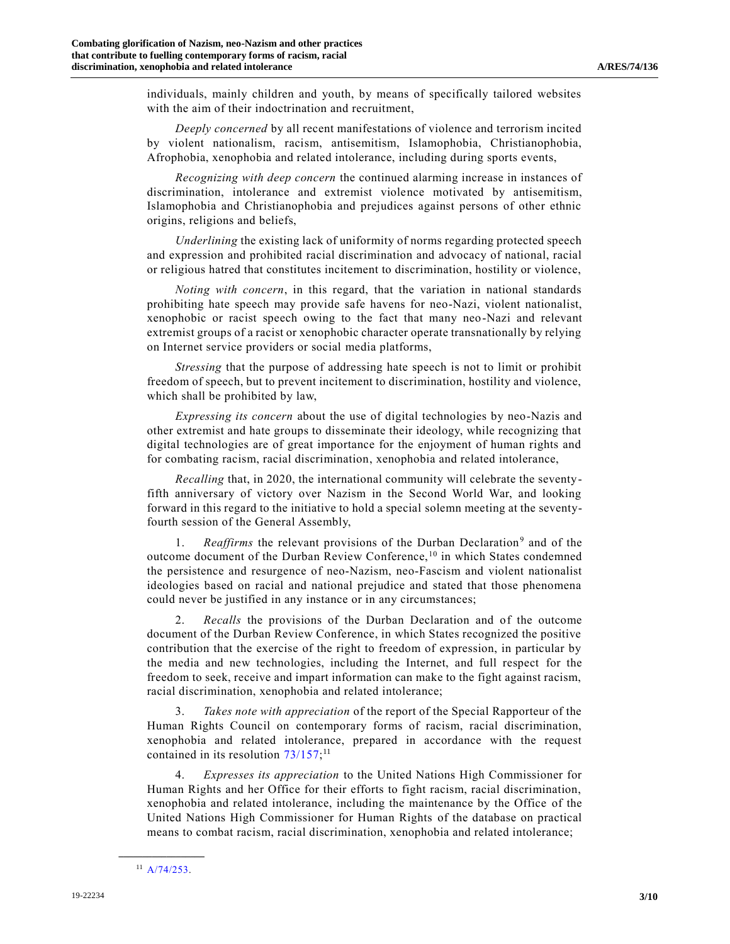individuals, mainly children and youth, by means of specifically tailored websites with the aim of their indoctrination and recruitment,

*Deeply concerned* by all recent manifestations of violence and terrorism incited by violent nationalism, racism, antisemitism, Islamophobia, Christianophobia, Afrophobia, xenophobia and related intolerance, including during sports events,

*Recognizing with deep concern* the continued alarming increase in instances of discrimination, intolerance and extremist violence motivated by antisemitism, Islamophobia and Christianophobia and prejudices against persons of other ethnic origins, religions and beliefs,

*Underlining* the existing lack of uniformity of norms regarding protected speech and expression and prohibited racial discrimination and advocacy of national, racial or religious hatred that constitutes incitement to discrimination, hostility or violence,

*Noting with concern*, in this regard, that the variation in national standards prohibiting hate speech may provide safe havens for neo-Nazi, violent nationalist, xenophobic or racist speech owing to the fact that many neo-Nazi and relevant extremist groups of a racist or xenophobic character operate transnationally by relying on Internet service providers or social media platforms,

*Stressing* that the purpose of addressing hate speech is not to limit or prohibit freedom of speech, but to prevent incitement to discrimination, hostility and violence, which shall be prohibited by law,

*Expressing its concern* about the use of digital technologies by neo-Nazis and other extremist and hate groups to disseminate their ideology, while recognizing that digital technologies are of great importance for the enjoyment of human rights and for combating racism, racial discrimination, xenophobia and related intolerance,

*Recalling* that, in 2020, the international community will celebrate the seventyfifth anniversary of victory over Nazism in the Second World War, and looking forward in this regard to the initiative to hold a special solemn meeting at the seventyfourth session of the General Assembly,

1. *Reaffirms* the relevant provisions of the Durban Declaration<sup>[9](#page-1-0)</sup> and of the outcome document of the Durban Review Conference, [10](#page-1-1) in which States condemned the persistence and resurgence of neo-Nazism, neo-Fascism and violent nationalist ideologies based on racial and national prejudice and stated that those phenomena could never be justified in any instance or in any circumstances;

2. *Recalls* the provisions of the Durban Declaration and of the outcome document of the Durban Review Conference, in which States recognized the positive contribution that the exercise of the right to freedom of expression, in particular by the media and new technologies, including the Internet, and full respect for the freedom to seek, receive and impart information can make to the fight against racism, racial discrimination, xenophobia and related intolerance;

3. *Takes note with appreciation* of the report of the Special Rapporteur of the Human Rights Council on contemporary forms of racism, racial discrimination, xenophobia and related intolerance, prepared in accordance with the request contained in its resolution [73/157;](https://undocs.org/en/A/RES/73/157)<sup>11</sup>

4. *Expresses its appreciation* to the United Nations High Commissioner for Human Rights and her Office for their efforts to fight racism, racial discrimination, xenophobia and related intolerance, including the maintenance by the Office of the United Nations High Commissioner for Human Rights of the database on practical means to combat racism, racial discrimination, xenophobia and related intolerance;

**\_\_\_\_\_\_\_\_\_\_\_\_\_\_\_\_\_\_** <sup>11</sup> [A/74/253.](https://undocs.org/en/A/74/253)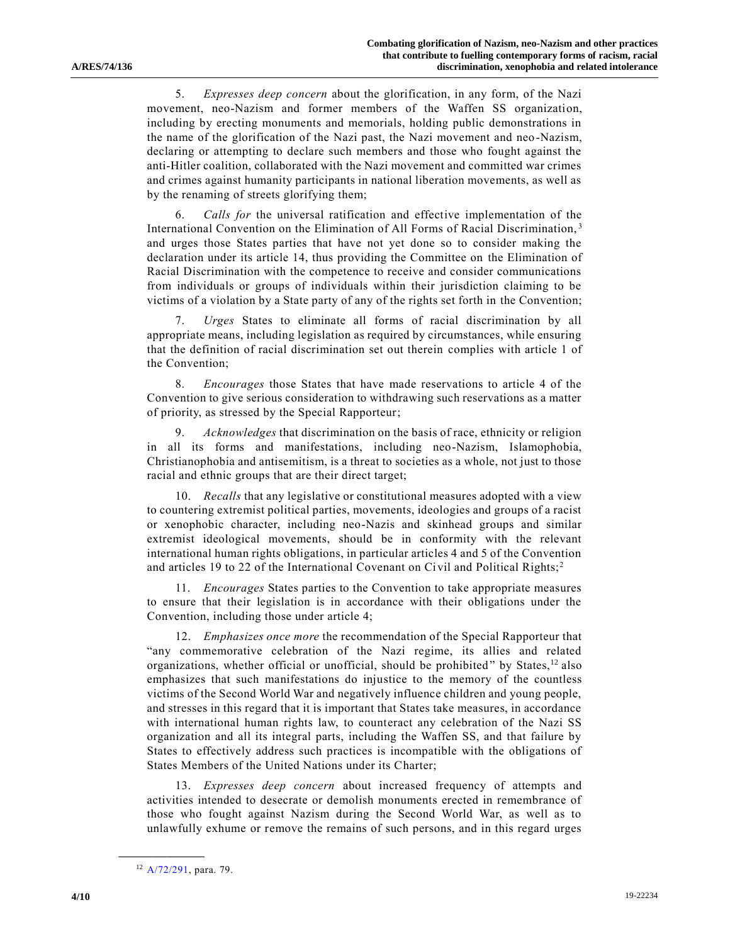5. *Expresses deep concern* about the glorification, in any form, of the Nazi movement, neo-Nazism and former members of the Waffen SS organization, including by erecting monuments and memorials, holding public demonstrations in the name of the glorification of the Nazi past, the Nazi movement and neo -Nazism, declaring or attempting to declare such members and those who fought against the anti-Hitler coalition, collaborated with the Nazi movement and committed war crimes and crimes against humanity participants in national liberation movements, as well as by the renaming of streets glorifying them;

6. *Calls for* the universal ratification and effective implementation of the International Convention on the Elimination of All Forms of Racial Discrimination, [3](#page-0-0) and urges those States parties that have not yet done so to consider making the declaration under its article 14, thus providing the Committee on the Elimination of Racial Discrimination with the competence to receive and consider communications from individuals or groups of individuals within their jurisdiction claiming to be victims of a violation by a State party of any of the rights set forth in the Convention;

7. *Urges* States to eliminate all forms of racial discrimination by all appropriate means, including legislation as required by circumstances, while ensuring that the definition of racial discrimination set out therein complies with article 1 of the Convention;

8. *Encourages* those States that have made reservations to article 4 of the Convention to give serious consideration to withdrawing such reservations as a matter of priority, as stressed by the Special Rapporteur;

9. *Acknowledges* that discrimination on the basis of race, ethnicity or religion in all its forms and manifestations, including neo-Nazism, Islamophobia, Christianophobia and antisemitism, is a threat to societies as a whole, not just to those racial and ethnic groups that are their direct target;

10. *Recalls* that any legislative or constitutional measures adopted with a view to countering extremist political parties, movements, ideologies and groups of a racist or xenophobic character, including neo-Nazis and skinhead groups and similar extremist ideological movements, should be in conformity with the relevant international human rights obligations, in particular articles 4 and 5 of the Convention and articles 19 to [2](#page-0-1)2 of the International Covenant on Civil and Political Rights;<sup>2</sup>

11. *Encourages* States parties to the Convention to take appropriate measures to ensure that their legislation is in accordance with their obligations under the Convention, including those under article 4;

12. *Emphasizes once more* the recommendation of the Special Rapporteur that "any commemorative celebration of the Nazi regime, its allies and related organizations, whether official or unofficial, should be prohibited" by States, $12$  also emphasizes that such manifestations do injustice to the memory of the countless victims of the Second World War and negatively influence children and young people, and stresses in this regard that it is important that States take measures, in accordance with international human rights law, to counteract any celebration of the Nazi SS organization and all its integral parts, including the Waffen SS, and that failure by States to effectively address such practices is incompatible with the obligations of States Members of the United Nations under its Charter;

13. *Expresses deep concern* about increased frequency of attempts and activities intended to desecrate or demolish monuments erected in remembrance of those who fought against Nazism during the Second World War, as well as to unlawfully exhume or remove the remains of such persons, and in this regard urges

<sup>12</sup> [A/72/291,](https://undocs.org/en/A/72/291) para. 79.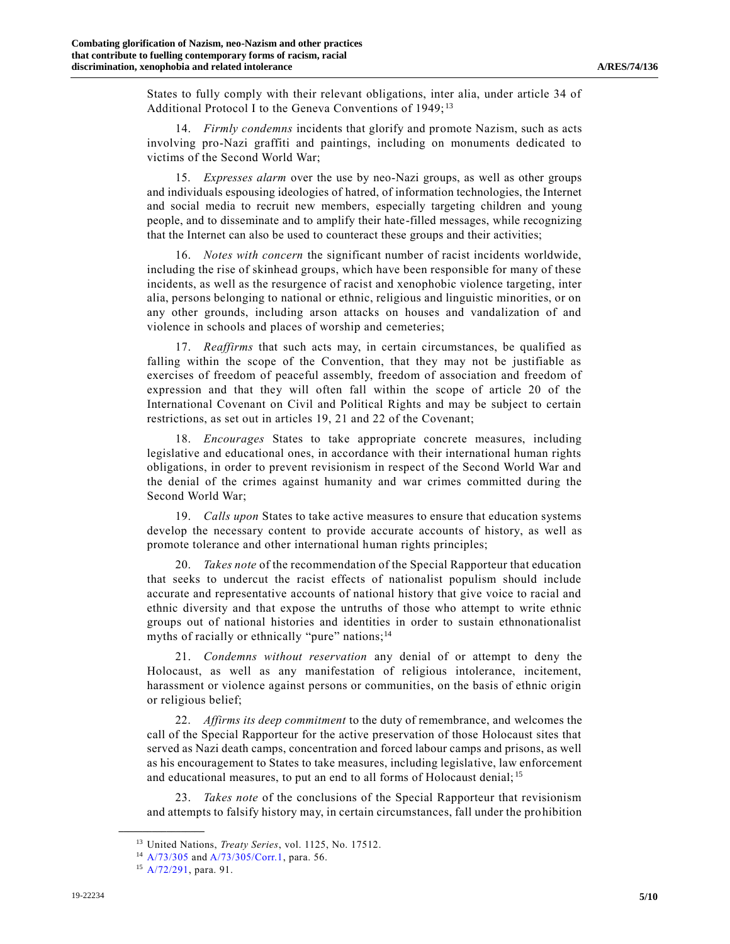States to fully comply with their relevant obligations, inter alia, under article 34 of Additional Protocol I to the Geneva Conventions of 1949;<sup>13</sup>

14. *Firmly condemns* incidents that glorify and promote Nazism, such as acts involving pro-Nazi graffiti and paintings, including on monuments dedicated to victims of the Second World War;

15. *Expresses alarm* over the use by neo-Nazi groups, as well as other groups and individuals espousing ideologies of hatred, of information technologies, the Internet and social media to recruit new members, especially targeting children and young people, and to disseminate and to amplify their hate-filled messages, while recognizing that the Internet can also be used to counteract these groups and their activities;

16. *Notes with concern* the significant number of racist incidents worldwide, including the rise of skinhead groups, which have been responsible for many of these incidents, as well as the resurgence of racist and xenophobic violence targeting, inter alia, persons belonging to national or ethnic, religious and linguistic minorities, or on any other grounds, including arson attacks on houses and vandalization of and violence in schools and places of worship and cemeteries;

17. *Reaffirms* that such acts may, in certain circumstances, be qualified as falling within the scope of the Convention, that they may not be justifiable as exercises of freedom of peaceful assembly, freedom of association and freedom of expression and that they will often fall within the scope of article 20 of the International Covenant on Civil and Political Rights and may be subject to certain restrictions, as set out in articles 19, 21 and 22 of the Covenant;

18. *Encourages* States to take appropriate concrete measures, including legislative and educational ones, in accordance with their international human rights obligations, in order to prevent revisionism in respect of the Second World War and the denial of the crimes against humanity and war crimes committed during the Second World War;

19. *Calls upon* States to take active measures to ensure that education systems develop the necessary content to provide accurate accounts of history, as well as promote tolerance and other international human rights principles;

20. *Takes note* of the recommendation of the Special Rapporteur that education that seeks to undercut the racist effects of nationalist populism should include accurate and representative accounts of national history that give voice to racial and ethnic diversity and that expose the untruths of those who attempt to write ethnic groups out of national histories and identities in order to sustain ethnonationalist myths of racially or ethnically "pure" nations; $<sup>14</sup>$ </sup>

21. *Condemns without reservation* any denial of or attempt to deny the Holocaust, as well as any manifestation of religious intolerance, incitement, harassment or violence against persons or communities, on the basis of ethnic origin or religious belief;

22. *Affirms its deep commitment* to the duty of remembrance, and welcomes the call of the Special Rapporteur for the active preservation of those Holocaust sites that served as Nazi death camps, concentration and forced labour camps and prisons, as well as his encouragement to States to take measures, including legislative, law enforcement and educational measures, to put an end to all forms of Holocaust denial; <sup>15</sup>

23. *Takes note* of the conclusions of the Special Rapporteur that revisionism and attempts to falsify history may, in certain circumstances, fall under the prohibition

<sup>13</sup> United Nations, *Treaty Series*, vol. 1125, No. 17512.

<sup>14</sup> [A/73/305](https://undocs.org/en/A/73/305) and [A/73/305/Corr.1,](https://undocs.org/en/A/73/305/Corr.1) para. 56.

<sup>15</sup> [A/72/291,](https://undocs.org/en/A/72/291) para. 91.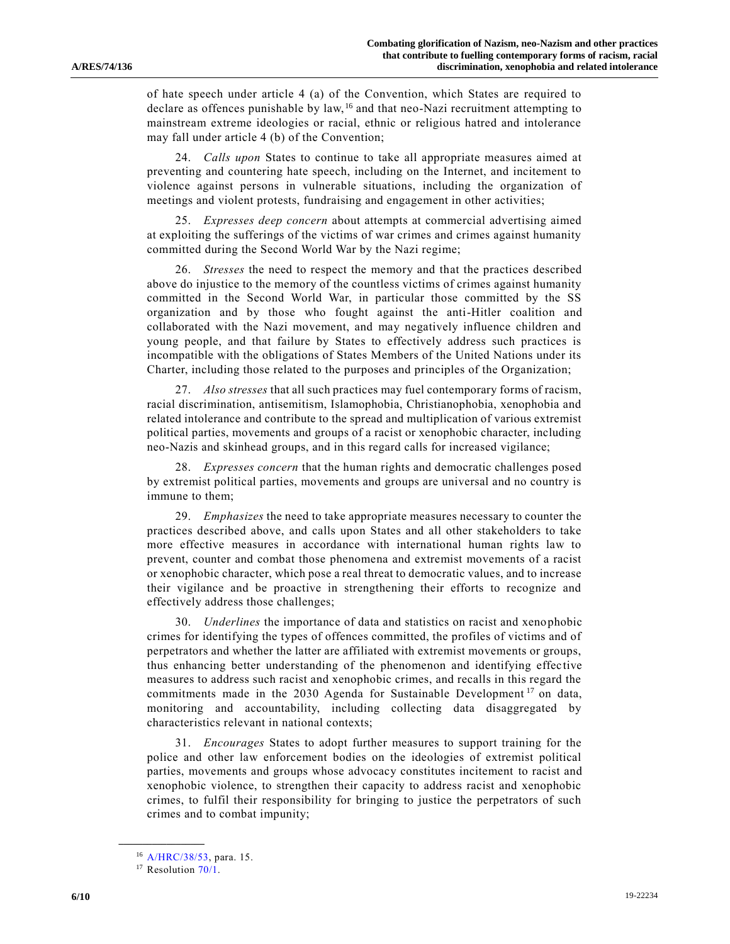of hate speech under article 4 (a) of the Convention, which States are required to declare as offences punishable by law, <sup>16</sup> and that neo-Nazi recruitment attempting to mainstream extreme ideologies or racial, ethnic or religious hatred and intolerance may fall under article 4 (b) of the Convention;

24. *Calls upon* States to continue to take all appropriate measures aimed at preventing and countering hate speech, including on the Internet, and incitement to violence against persons in vulnerable situations, including the organization of meetings and violent protests, fundraising and engagement in other activities;

25. *Expresses deep concern* about attempts at commercial advertising aimed at exploiting the sufferings of the victims of war crimes and crimes against humanity committed during the Second World War by the Nazi regime;

26. *Stresses* the need to respect the memory and that the practices described above do injustice to the memory of the countless victims of crimes against humanity committed in the Second World War, in particular those committed by the SS organization and by those who fought against the anti-Hitler coalition and collaborated with the Nazi movement, and may negatively influence children and young people, and that failure by States to effectively address such practices is incompatible with the obligations of States Members of the United Nations under its Charter, including those related to the purposes and principles of the Organization;

27. *Also stresses* that all such practices may fuel contemporary forms of racism, racial discrimination, antisemitism, Islamophobia, Christianophobia, xenophobia and related intolerance and contribute to the spread and multiplication of various extremist political parties, movements and groups of a racist or xenophobic character, including neo-Nazis and skinhead groups, and in this regard calls for increased vigilance;

28. *Expresses concern* that the human rights and democratic challenges posed by extremist political parties, movements and groups are universal and no country is immune to them;

29. *Emphasizes* the need to take appropriate measures necessary to counter the practices described above, and calls upon States and all other stakeholders to take more effective measures in accordance with international human rights law to prevent, counter and combat those phenomena and extremist movements of a racist or xenophobic character, which pose a real threat to democratic values, and to increase their vigilance and be proactive in strengthening their efforts to recognize and effectively address those challenges;

30. *Underlines* the importance of data and statistics on racist and xenophobic crimes for identifying the types of offences committed, the profiles of victims and of perpetrators and whether the latter are affiliated with extremist movements or groups, thus enhancing better understanding of the phenomenon and identifying effective measures to address such racist and xenophobic crimes, and recalls in this regard the commitments made in the 2030 Agenda for Sustainable Development<sup>17</sup> on data, monitoring and accountability, including collecting data disaggregated by characteristics relevant in national contexts;

31. *Encourages* States to adopt further measures to support training for the police and other law enforcement bodies on the ideologies of extremist political parties, movements and groups whose advocacy constitutes incitement to racist and xenophobic violence, to strengthen their capacity to address racist and xenophobic crimes, to fulfil their responsibility for bringing to justice the perpetrators of such crimes and to combat impunity;

<sup>16</sup> [A/HRC/38/53,](https://undocs.org/en/A/HRC/38/53) para. 15.

<sup>&</sup>lt;sup>17</sup> Resolution [70/1.](https://undocs.org/en/A/RES/70/1)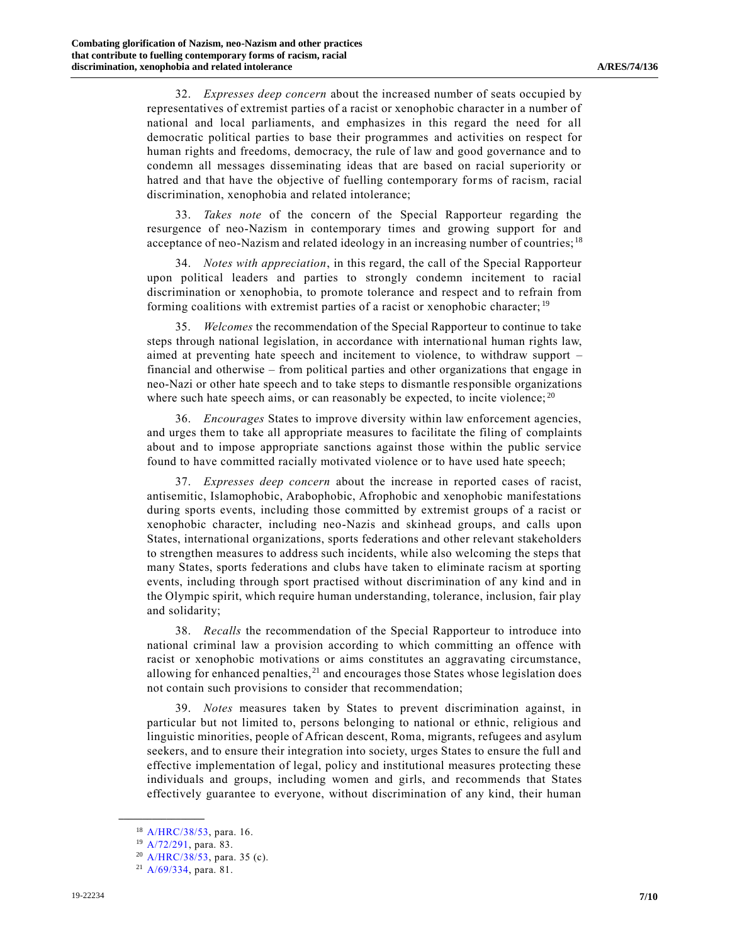32. *Expresses deep concern* about the increased number of seats occupied by representatives of extremist parties of a racist or xenophobic character in a number of national and local parliaments, and emphasizes in this regard the need for all democratic political parties to base their programmes and activities on respect for human rights and freedoms, democracy, the rule of law and good governance and to condemn all messages disseminating ideas that are based on racial superiority or hatred and that have the objective of fuelling contemporary forms of racism, racial discrimination, xenophobia and related intolerance;

33. *Takes note* of the concern of the Special Rapporteur regarding the resurgence of neo-Nazism in contemporary times and growing support for and acceptance of neo-Nazism and related ideology in an increasing number of countries; <sup>18</sup>

34. *Notes with appreciation*, in this regard, the call of the Special Rapporteur upon political leaders and parties to strongly condemn incitement to racial discrimination or xenophobia, to promote tolerance and respect and to refrain from forming coalitions with extremist parties of a racist or xenophobic character; <sup>19</sup>

35. *Welcomes* the recommendation of the Special Rapporteur to continue to take steps through national legislation, in accordance with international human rights law, aimed at preventing hate speech and incitement to violence, to withdraw support – financial and otherwise – from political parties and other organizations that engage in neo-Nazi or other hate speech and to take steps to dismantle responsible organizations where such hate speech aims, or can reasonably be expected, to incite violence;  $20$ 

36. *Encourages* States to improve diversity within law enforcement agencies, and urges them to take all appropriate measures to facilitate the filing of complaints about and to impose appropriate sanctions against those within the public service found to have committed racially motivated violence or to have used hate speech;

37. *Expresses deep concern* about the increase in reported cases of racist, antisemitic, Islamophobic, Arabophobic, Afrophobic and xenophobic manifestations during sports events, including those committed by extremist groups of a racist or xenophobic character, including neo-Nazis and skinhead groups, and calls upon States, international organizations, sports federations and other relevant stakeholders to strengthen measures to address such incidents, while also welcoming the steps that many States, sports federations and clubs have taken to eliminate racism at sporting events, including through sport practised without discrimination of any kind and in the Olympic spirit, which require human understanding, tolerance, inclusion, fair play and solidarity;

38. *Recalls* the recommendation of the Special Rapporteur to introduce into national criminal law a provision according to which committing an offence with racist or xenophobic motivations or aims constitutes an aggravating circumstance, allowing for enhanced penalties, $21$  and encourages those States whose legislation does not contain such provisions to consider that recommendation;

39. *Notes* measures taken by States to prevent discrimination against, in particular but not limited to, persons belonging to national or ethnic, religious and linguistic minorities, people of African descent, Roma, migrants, refugees and asylum seekers, and to ensure their integration into society, urges States to ensure the full and effective implementation of legal, policy and institutional measures protecting these individuals and groups, including women and girls, and recommends that States effectively guarantee to everyone, without discrimination of any kind, their human

<sup>18</sup> [A/HRC/38/53,](https://undocs.org/en/A/HRC/38/53) para. 16.

<sup>19</sup> [A/72/291,](https://undocs.org/en/A/72/291) para. 83.

<sup>20</sup> [A/HRC/38/53,](https://undocs.org/en/A/HRC/38/53) para. 35 (c).

<sup>21</sup> [A/69/334,](https://undocs.org/en/A/69/334) para. 81.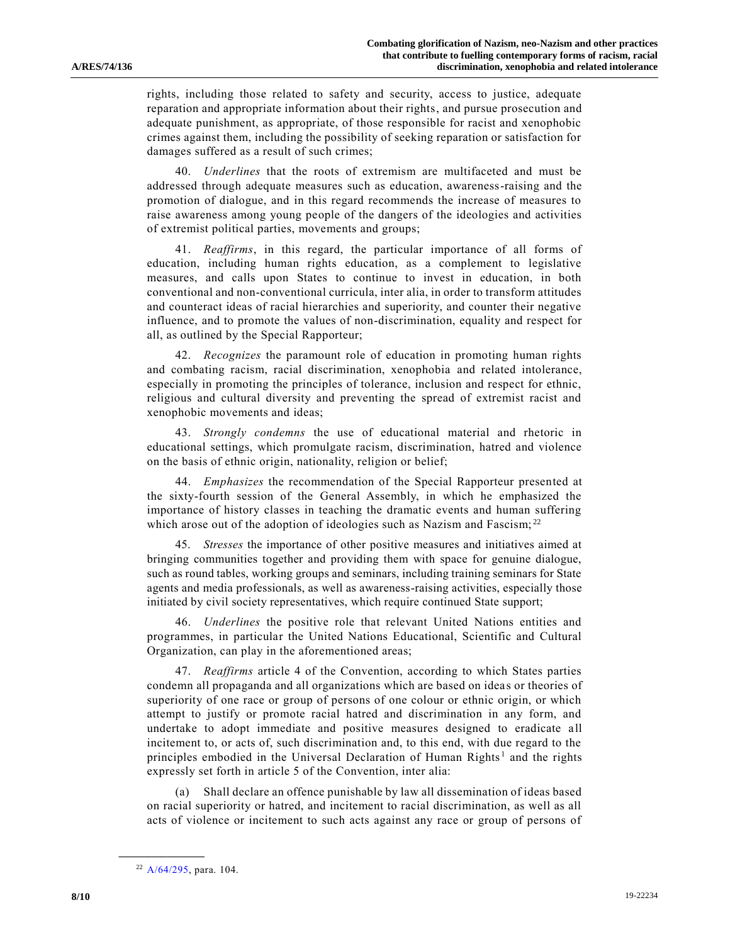rights, including those related to safety and security, access to justice, adequate reparation and appropriate information about their rights, and pursue prosecution and adequate punishment, as appropriate, of those responsible for racist and xenophobic crimes against them, including the possibility of seeking reparation or satisfaction for damages suffered as a result of such crimes;

40. *Underlines* that the roots of extremism are multifaceted and must be addressed through adequate measures such as education, awareness-raising and the promotion of dialogue, and in this regard recommends the increase of measures to raise awareness among young people of the dangers of the ideologies and activities of extremist political parties, movements and groups;

41. *Reaffirms*, in this regard, the particular importance of all forms of education, including human rights education, as a complement to legislative measures, and calls upon States to continue to invest in education, in both conventional and non-conventional curricula, inter alia, in order to transform attitudes and counteract ideas of racial hierarchies and superiority, and counter their negative influence, and to promote the values of non-discrimination, equality and respect for all, as outlined by the Special Rapporteur;

42. *Recognizes* the paramount role of education in promoting human rights and combating racism, racial discrimination, xenophobia and related intolerance, especially in promoting the principles of tolerance, inclusion and respect for ethnic, religious and cultural diversity and preventing the spread of extremist racist and xenophobic movements and ideas;

43. *Strongly condemns* the use of educational material and rhetoric in educational settings, which promulgate racism, discrimination, hatred and violence on the basis of ethnic origin, nationality, religion or belief;

44. *Emphasizes* the recommendation of the Special Rapporteur presented at the sixty-fourth session of the General Assembly, in which he emphasized the importance of history classes in teaching the dramatic events and human suffering which arose out of the adoption of ideologies such as Nazism and Fascism;<sup>22</sup>

45. *Stresses* the importance of other positive measures and initiatives aimed at bringing communities together and providing them with space for genuine dialogue, such as round tables, working groups and seminars, including training seminars for State agents and media professionals, as well as awareness-raising activities, especially those initiated by civil society representatives, which require continued State support;

46. *Underlines* the positive role that relevant United Nations entities and programmes, in particular the United Nations Educational, Scientific and Cultural Organization, can play in the aforementioned areas;

47. *Reaffirms* article 4 of the Convention, according to which States parties condemn all propaganda and all organizations which are based on idea s or theories of superiority of one race or group of persons of one colour or ethnic origin, or which attempt to justify or promote racial hatred and discrimination in any form, and undertake to adopt immediate and positive measures designed to eradicate all incitement to, or acts of, such discrimination and, to this end, with due regard to the principles embodied in the Universal Declaration of Human Rights<sup>[1](#page-0-2)</sup> and the rights expressly set forth in article 5 of the Convention, inter alia:

(a) Shall declare an offence punishable by law all dissemination of ideas based on racial superiority or hatred, and incitement to racial discrimination, as well as all acts of violence or incitement to such acts against any race or group of persons of

<sup>22</sup> A/64/295, para. 104.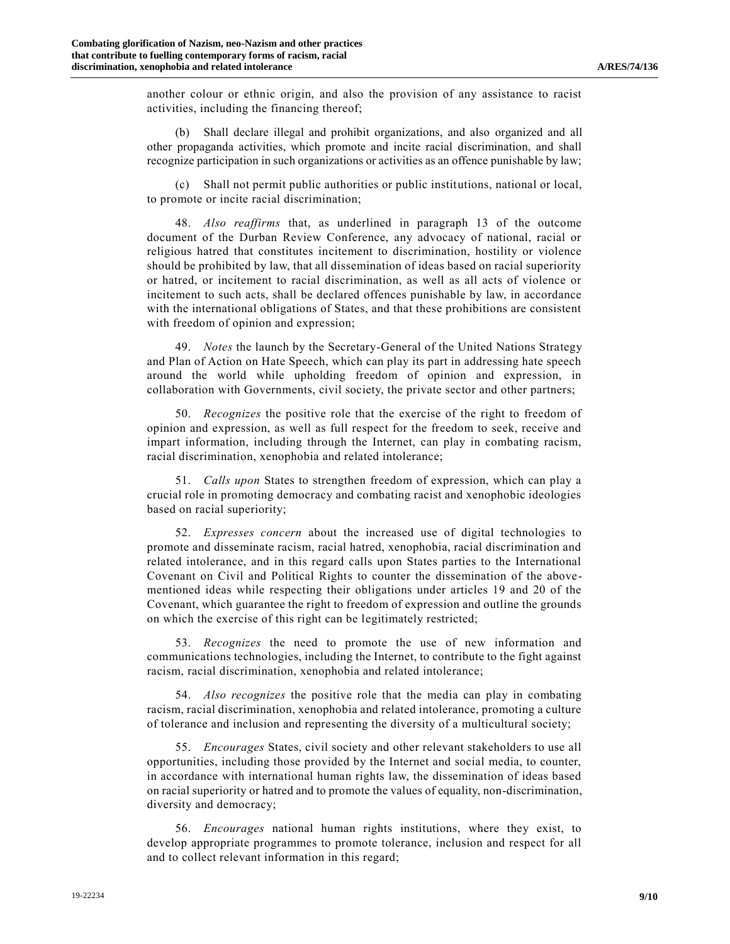another colour or ethnic origin, and also the provision of any assistance to racist activities, including the financing thereof;

(b) Shall declare illegal and prohibit organizations, and also organized and all other propaganda activities, which promote and incite racial discrimination, and shall recognize participation in such organizations or activities as an offence punishable by law;

Shall not permit public authorities or public institutions, national or local, to promote or incite racial discrimination;

48. *Also reaffirms* that, as underlined in paragraph 13 of the outcome document of the Durban Review Conference, any advocacy of national, racial or religious hatred that constitutes incitement to discrimination, hostility or violence should be prohibited by law, that all dissemination of ideas based on racial superiority or hatred, or incitement to racial discrimination, as well as all acts of violence or incitement to such acts, shall be declared offences punishable by law, in accordance with the international obligations of States, and that these prohibitions are consistent with freedom of opinion and expression;

49. *Notes* the launch by the Secretary-General of the United Nations Strategy and Plan of Action on Hate Speech, which can play its part in addressing hate speech around the world while upholding freedom of opinion and expression, in collaboration with Governments, civil society, the private sector and other partners;

50. *Recognizes* the positive role that the exercise of the right to freedom of opinion and expression, as well as full respect for the freedom to seek, receive and impart information, including through the Internet, can play in combating racism, racial discrimination, xenophobia and related intolerance;

51. *Calls upon* States to strengthen freedom of expression, which can play a crucial role in promoting democracy and combating racist and xenophobic ideologies based on racial superiority;

52. *Expresses concern* about the increased use of digital technologies to promote and disseminate racism, racial hatred, xenophobia, racial discrimination and related intolerance, and in this regard calls upon States parties to the International Covenant on Civil and Political Rights to counter the dissemination of the abovementioned ideas while respecting their obligations under articles 19 and 20 of the Covenant, which guarantee the right to freedom of expression and outline the grounds on which the exercise of this right can be legitimately restricted;

53. *Recognizes* the need to promote the use of new information and communications technologies, including the Internet, to contribute to the fight against racism, racial discrimination, xenophobia and related intolerance;

54. *Also recognizes* the positive role that the media can play in combating racism, racial discrimination, xenophobia and related intolerance, promoting a culture of tolerance and inclusion and representing the diversity of a multicultural society;

55. *Encourages* States, civil society and other relevant stakeholders to use all opportunities, including those provided by the Internet and social media, to counter, in accordance with international human rights law, the dissemination of ideas based on racial superiority or hatred and to promote the values of equality, non-discrimination, diversity and democracy;

56. *Encourages* national human rights institutions, where they exist, to develop appropriate programmes to promote tolerance, inclusion and respect for all and to collect relevant information in this regard;